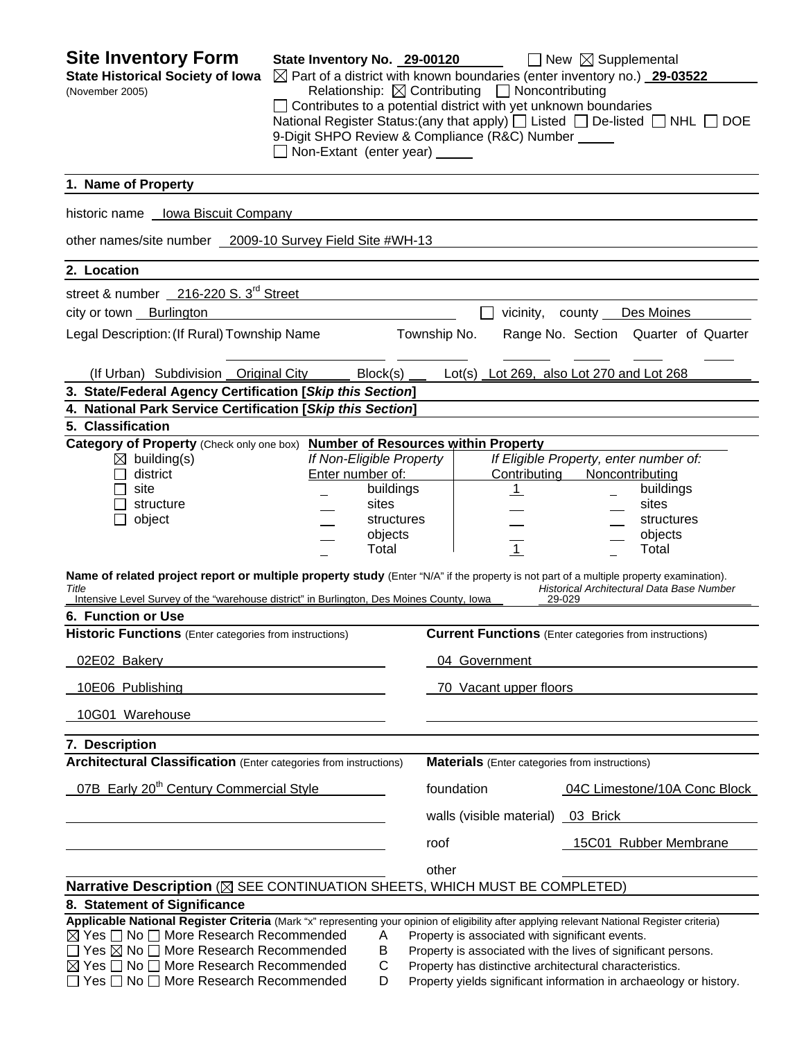| <b>Site Inventory Form</b><br><b>State Historical Society of Iowa</b>                                                                                                                                                                         | State Inventory No. 29-00120<br>$\boxtimes$ Part of a district with known boundaries (enter inventory no.) 29-03522                                            |                       |               |                                                               | $\Box$ New $\boxtimes$ Supplemental                                                                              |                                                                                   |
|-----------------------------------------------------------------------------------------------------------------------------------------------------------------------------------------------------------------------------------------------|----------------------------------------------------------------------------------------------------------------------------------------------------------------|-----------------------|---------------|---------------------------------------------------------------|------------------------------------------------------------------------------------------------------------------|-----------------------------------------------------------------------------------|
| (November 2005)                                                                                                                                                                                                                               | $\Box$ Contributes to a potential district with yet unknown boundaries<br>9-Digit SHPO Review & Compliance (R&C) Number _____<br>Non-Extant (enter year) _____ |                       |               | Relationship: $\boxtimes$ Contributing $\Box$ Noncontributing |                                                                                                                  | National Register Status: (any that apply) [ Listed [ ] De-listed [ ] NHL [ ] DOE |
| 1. Name of Property                                                                                                                                                                                                                           |                                                                                                                                                                |                       |               |                                                               |                                                                                                                  |                                                                                   |
| Iowa Biscuit Company<br>historic name                                                                                                                                                                                                         |                                                                                                                                                                |                       |               |                                                               |                                                                                                                  |                                                                                   |
| other names/site number 2009-10 Survey Field Site #WH-13                                                                                                                                                                                      |                                                                                                                                                                |                       |               |                                                               |                                                                                                                  |                                                                                   |
| 2. Location                                                                                                                                                                                                                                   |                                                                                                                                                                |                       |               |                                                               |                                                                                                                  |                                                                                   |
| street & number 216-220 S. 3 <sup>rd</sup> Street                                                                                                                                                                                             |                                                                                                                                                                |                       |               |                                                               |                                                                                                                  |                                                                                   |
| city or town Burlington                                                                                                                                                                                                                       |                                                                                                                                                                |                       |               | vicinity,                                                     |                                                                                                                  | Des Moines                                                                        |
| Legal Description: (If Rural) Township Name                                                                                                                                                                                                   |                                                                                                                                                                |                       | Township No.  |                                                               |                                                                                                                  | Range No. Section Quarter of Quarter                                              |
| (If Urban) Subdivision Original City                                                                                                                                                                                                          |                                                                                                                                                                | Block(s)              |               |                                                               | Lot(s) Lot 269, also Lot 270 and Lot 268                                                                         |                                                                                   |
| 3. State/Federal Agency Certification [Skip this Section]                                                                                                                                                                                     |                                                                                                                                                                |                       |               |                                                               |                                                                                                                  |                                                                                   |
| 4. National Park Service Certification [Skip this Section]                                                                                                                                                                                    |                                                                                                                                                                |                       |               |                                                               |                                                                                                                  |                                                                                   |
| 5. Classification                                                                                                                                                                                                                             |                                                                                                                                                                |                       |               |                                                               |                                                                                                                  |                                                                                   |
| Category of Property (Check only one box) Number of Resources within Property<br>$\boxtimes$ building(s)                                                                                                                                      | If Non-Eligible Property                                                                                                                                       |                       |               |                                                               | If Eligible Property, enter number of:                                                                           |                                                                                   |
| district                                                                                                                                                                                                                                      | Enter number of:                                                                                                                                               |                       |               | Contributing                                                  | Noncontributing                                                                                                  |                                                                                   |
| site                                                                                                                                                                                                                                          |                                                                                                                                                                | buildings             |               | <u>_1</u>                                                     |                                                                                                                  | buildings                                                                         |
| structure                                                                                                                                                                                                                                     |                                                                                                                                                                | sites                 |               |                                                               |                                                                                                                  | sites                                                                             |
| object                                                                                                                                                                                                                                        |                                                                                                                                                                | structures<br>objects |               |                                                               |                                                                                                                  | structures<br>objects                                                             |
|                                                                                                                                                                                                                                               |                                                                                                                                                                | Total                 |               | $\overline{1}$                                                |                                                                                                                  | Total                                                                             |
| Name of related project report or multiple property study (Enter "N/A" if the property is not part of a multiple property examination).<br>Title<br>Intensive Level Survey of the "warehouse district" in Burlington, Des Moines County, Iowa |                                                                                                                                                                |                       |               |                                                               | 29-029                                                                                                           | Historical Architectural Data Base Number                                         |
| 6. Function or Use                                                                                                                                                                                                                            |                                                                                                                                                                |                       |               |                                                               |                                                                                                                  |                                                                                   |
| <b>Historic Functions</b> (Enter categories from instructions)                                                                                                                                                                                |                                                                                                                                                                |                       |               |                                                               | <b>Current Functions</b> (Enter categories from instructions)                                                    |                                                                                   |
| 02E02 Bakery                                                                                                                                                                                                                                  |                                                                                                                                                                |                       | 04 Government |                                                               |                                                                                                                  |                                                                                   |
| 10E06 Publishing                                                                                                                                                                                                                              |                                                                                                                                                                |                       |               | 70 Vacant upper floors                                        |                                                                                                                  |                                                                                   |
| 10G01 Warehouse                                                                                                                                                                                                                               |                                                                                                                                                                |                       |               |                                                               |                                                                                                                  |                                                                                   |
| 7. Description                                                                                                                                                                                                                                |                                                                                                                                                                |                       |               |                                                               |                                                                                                                  |                                                                                   |
| <b>Architectural Classification</b> (Enter categories from instructions)                                                                                                                                                                      |                                                                                                                                                                |                       |               |                                                               | <b>Materials</b> (Enter categories from instructions)                                                            |                                                                                   |
| 07B Early 20 <sup>th</sup> Century Commercial Style                                                                                                                                                                                           |                                                                                                                                                                |                       | foundation    |                                                               |                                                                                                                  | 04C Limestone/10A Conc Block                                                      |
|                                                                                                                                                                                                                                               |                                                                                                                                                                |                       |               | walls (visible material) 03 Brick                             |                                                                                                                  |                                                                                   |
|                                                                                                                                                                                                                                               |                                                                                                                                                                |                       | roof          |                                                               |                                                                                                                  | 15C01 Rubber Membrane                                                             |
|                                                                                                                                                                                                                                               |                                                                                                                                                                |                       | other         |                                                               |                                                                                                                  |                                                                                   |
| Narrative Description (⊠ SEE CONTINUATION SHEETS, WHICH MUST BE COMPLETED)                                                                                                                                                                    |                                                                                                                                                                |                       |               |                                                               |                                                                                                                  |                                                                                   |
| 8. Statement of Significance                                                                                                                                                                                                                  |                                                                                                                                                                |                       |               |                                                               |                                                                                                                  |                                                                                   |
| Applicable National Register Criteria (Mark "x" representing your opinion of eligibility after applying relevant National Register criteria)                                                                                                  |                                                                                                                                                                |                       |               |                                                               |                                                                                                                  |                                                                                   |
| $\boxtimes$ Yes $\Box$ No $\Box$ More Research Recommended<br>$\Box$ Yes $\boxtimes$ No $\Box$ More Research Recommended                                                                                                                      |                                                                                                                                                                | Α<br>Β                |               |                                                               | Property is associated with significant events.<br>Property is associated with the lives of significant persons. |                                                                                   |
| $\boxtimes$ Yes $\Box$ No $\Box$ More Research Recommended                                                                                                                                                                                    |                                                                                                                                                                | С                     |               |                                                               | Property has distinctive architectural characteristics.                                                          |                                                                                   |
| $\Box$ Yes $\Box$ No $\Box$ More Research Recommended                                                                                                                                                                                         |                                                                                                                                                                | D                     |               |                                                               |                                                                                                                  | Property yields significant information in archaeology or history.                |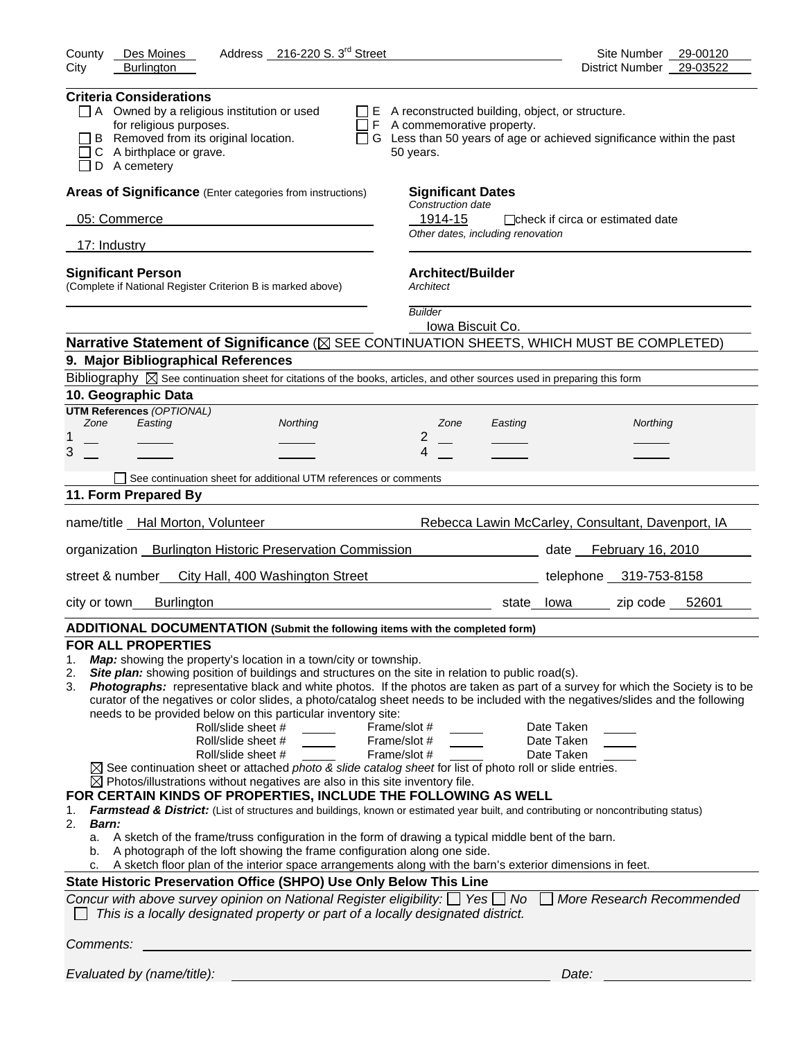| Address 216-220 S. 3 <sup>rd</sup> Street<br>County<br>Des Moines                                                                                                                                                                                                                                                                                                                                                                                                                                                                                                                                                                                                                                                                                                                                                                                                                                                                                                                                                                                                                                                                                                                                                                                                                                                                                                                                                                                                                                                                                                                                                                                                                                                                       | Site Number<br>29-00120                           |
|-----------------------------------------------------------------------------------------------------------------------------------------------------------------------------------------------------------------------------------------------------------------------------------------------------------------------------------------------------------------------------------------------------------------------------------------------------------------------------------------------------------------------------------------------------------------------------------------------------------------------------------------------------------------------------------------------------------------------------------------------------------------------------------------------------------------------------------------------------------------------------------------------------------------------------------------------------------------------------------------------------------------------------------------------------------------------------------------------------------------------------------------------------------------------------------------------------------------------------------------------------------------------------------------------------------------------------------------------------------------------------------------------------------------------------------------------------------------------------------------------------------------------------------------------------------------------------------------------------------------------------------------------------------------------------------------------------------------------------------------|---------------------------------------------------|
| <b>Burlington</b><br>City                                                                                                                                                                                                                                                                                                                                                                                                                                                                                                                                                                                                                                                                                                                                                                                                                                                                                                                                                                                                                                                                                                                                                                                                                                                                                                                                                                                                                                                                                                                                                                                                                                                                                                               | 29-03522<br><b>District Number</b>                |
| <b>Criteria Considerations</b><br>$\Box$ A Owned by a religious institution or used<br>$\Box$ E A reconstructed building, object, or structure.<br>for religious purposes.<br>$\Box$ F A commemorative property.<br>B Removed from its original location.<br>$\Box$ G Less than 50 years of age or achieved significance within the past<br>C A birthplace or grave.<br>50 years.<br>D A cemetery                                                                                                                                                                                                                                                                                                                                                                                                                                                                                                                                                                                                                                                                                                                                                                                                                                                                                                                                                                                                                                                                                                                                                                                                                                                                                                                                       |                                                   |
| Areas of Significance (Enter categories from instructions)<br><b>Significant Dates</b>                                                                                                                                                                                                                                                                                                                                                                                                                                                                                                                                                                                                                                                                                                                                                                                                                                                                                                                                                                                                                                                                                                                                                                                                                                                                                                                                                                                                                                                                                                                                                                                                                                                  |                                                   |
| Construction date<br>05: Commerce<br>1914-15                                                                                                                                                                                                                                                                                                                                                                                                                                                                                                                                                                                                                                                                                                                                                                                                                                                                                                                                                                                                                                                                                                                                                                                                                                                                                                                                                                                                                                                                                                                                                                                                                                                                                            | □ check if circa or estimated date                |
| the contract of the contract of the contract of the contract of the contract of<br>Other dates, including renovation                                                                                                                                                                                                                                                                                                                                                                                                                                                                                                                                                                                                                                                                                                                                                                                                                                                                                                                                                                                                                                                                                                                                                                                                                                                                                                                                                                                                                                                                                                                                                                                                                    |                                                   |
| 17: Industry                                                                                                                                                                                                                                                                                                                                                                                                                                                                                                                                                                                                                                                                                                                                                                                                                                                                                                                                                                                                                                                                                                                                                                                                                                                                                                                                                                                                                                                                                                                                                                                                                                                                                                                            |                                                   |
| <b>Architect/Builder</b><br><b>Significant Person</b><br>(Complete if National Register Criterion B is marked above)<br>Architect                                                                                                                                                                                                                                                                                                                                                                                                                                                                                                                                                                                                                                                                                                                                                                                                                                                                                                                                                                                                                                                                                                                                                                                                                                                                                                                                                                                                                                                                                                                                                                                                       |                                                   |
| <b>Builder</b><br>Iowa Biscuit Co.                                                                                                                                                                                                                                                                                                                                                                                                                                                                                                                                                                                                                                                                                                                                                                                                                                                                                                                                                                                                                                                                                                                                                                                                                                                                                                                                                                                                                                                                                                                                                                                                                                                                                                      |                                                   |
| Narrative Statement of Significance ( $\boxtimes$ SEE CONTINUATION SHEETS, WHICH MUST BE COMPLETED)                                                                                                                                                                                                                                                                                                                                                                                                                                                                                                                                                                                                                                                                                                                                                                                                                                                                                                                                                                                                                                                                                                                                                                                                                                                                                                                                                                                                                                                                                                                                                                                                                                     |                                                   |
| 9. Major Bibliographical References                                                                                                                                                                                                                                                                                                                                                                                                                                                                                                                                                                                                                                                                                                                                                                                                                                                                                                                                                                                                                                                                                                                                                                                                                                                                                                                                                                                                                                                                                                                                                                                                                                                                                                     |                                                   |
| Bibliography $\boxtimes$ See continuation sheet for citations of the books, articles, and other sources used in preparing this form                                                                                                                                                                                                                                                                                                                                                                                                                                                                                                                                                                                                                                                                                                                                                                                                                                                                                                                                                                                                                                                                                                                                                                                                                                                                                                                                                                                                                                                                                                                                                                                                     |                                                   |
| 10. Geographic Data<br><b>UTM References (OPTIONAL)</b>                                                                                                                                                                                                                                                                                                                                                                                                                                                                                                                                                                                                                                                                                                                                                                                                                                                                                                                                                                                                                                                                                                                                                                                                                                                                                                                                                                                                                                                                                                                                                                                                                                                                                 |                                                   |
| Zone<br>Easting<br>Northing<br>Zone<br>Easting                                                                                                                                                                                                                                                                                                                                                                                                                                                                                                                                                                                                                                                                                                                                                                                                                                                                                                                                                                                                                                                                                                                                                                                                                                                                                                                                                                                                                                                                                                                                                                                                                                                                                          | Northing                                          |
| 2<br>1<br>3<br>4                                                                                                                                                                                                                                                                                                                                                                                                                                                                                                                                                                                                                                                                                                                                                                                                                                                                                                                                                                                                                                                                                                                                                                                                                                                                                                                                                                                                                                                                                                                                                                                                                                                                                                                        |                                                   |
|                                                                                                                                                                                                                                                                                                                                                                                                                                                                                                                                                                                                                                                                                                                                                                                                                                                                                                                                                                                                                                                                                                                                                                                                                                                                                                                                                                                                                                                                                                                                                                                                                                                                                                                                         |                                                   |
| See continuation sheet for additional UTM references or comments<br>11. Form Prepared By                                                                                                                                                                                                                                                                                                                                                                                                                                                                                                                                                                                                                                                                                                                                                                                                                                                                                                                                                                                                                                                                                                                                                                                                                                                                                                                                                                                                                                                                                                                                                                                                                                                |                                                   |
|                                                                                                                                                                                                                                                                                                                                                                                                                                                                                                                                                                                                                                                                                                                                                                                                                                                                                                                                                                                                                                                                                                                                                                                                                                                                                                                                                                                                                                                                                                                                                                                                                                                                                                                                         |                                                   |
| name/title Hal Morton, Volunteer                                                                                                                                                                                                                                                                                                                                                                                                                                                                                                                                                                                                                                                                                                                                                                                                                                                                                                                                                                                                                                                                                                                                                                                                                                                                                                                                                                                                                                                                                                                                                                                                                                                                                                        | Rebecca Lawin McCarley, Consultant, Davenport, IA |
| organization Burlington Historic Preservation Commission                                                                                                                                                                                                                                                                                                                                                                                                                                                                                                                                                                                                                                                                                                                                                                                                                                                                                                                                                                                                                                                                                                                                                                                                                                                                                                                                                                                                                                                                                                                                                                                                                                                                                | date February 16, 2010                            |
| street & number<br>City Hall, 400 Washington Street                                                                                                                                                                                                                                                                                                                                                                                                                                                                                                                                                                                                                                                                                                                                                                                                                                                                                                                                                                                                                                                                                                                                                                                                                                                                                                                                                                                                                                                                                                                                                                                                                                                                                     | telephone 319-753-8158                            |
| <b>Burlington</b><br>city or town                                                                                                                                                                                                                                                                                                                                                                                                                                                                                                                                                                                                                                                                                                                                                                                                                                                                                                                                                                                                                                                                                                                                                                                                                                                                                                                                                                                                                                                                                                                                                                                                                                                                                                       | zip code $52601$<br>state lowa                    |
| ADDITIONAL DOCUMENTATION (Submit the following items with the completed form)                                                                                                                                                                                                                                                                                                                                                                                                                                                                                                                                                                                                                                                                                                                                                                                                                                                                                                                                                                                                                                                                                                                                                                                                                                                                                                                                                                                                                                                                                                                                                                                                                                                           |                                                   |
| <b>FOR ALL PROPERTIES</b><br>Map: showing the property's location in a town/city or township.<br>1.<br>Site plan: showing position of buildings and structures on the site in relation to public road(s).<br>2.<br>Photographs: representative black and white photos. If the photos are taken as part of a survey for which the Society is to be<br>3.<br>curator of the negatives or color slides, a photo/catalog sheet needs to be included with the negatives/slides and the following<br>needs to be provided below on this particular inventory site:<br>Roll/slide sheet #<br>Frame/slot #<br>Roll/slide sheet #<br>Frame/slot #<br>Roll/slide sheet #<br>Frame/slot #<br>$\boxtimes$ See continuation sheet or attached photo & slide catalog sheet for list of photo roll or slide entries.<br>$\boxtimes$ Photos/illustrations without negatives are also in this site inventory file.<br>FOR CERTAIN KINDS OF PROPERTIES, INCLUDE THE FOLLOWING AS WELL<br>Farmstead & District: (List of structures and buildings, known or estimated year built, and contributing or noncontributing status)<br>1.<br>2.<br><b>Barn:</b><br>A sketch of the frame/truss configuration in the form of drawing a typical middle bent of the barn.<br>a.<br>A photograph of the loft showing the frame configuration along one side.<br>b.<br>A sketch floor plan of the interior space arrangements along with the barn's exterior dimensions in feet.<br>State Historic Preservation Office (SHPO) Use Only Below This Line<br>Concur with above survey opinion on National Register eligibility: $\Box$ Yes $\Box$ No $\Box$ More Research Recommended<br>This is a locally designated property or part of a locally designated district. | Date Taken<br>Date Taken<br>Date Taken            |
| Comments:                                                                                                                                                                                                                                                                                                                                                                                                                                                                                                                                                                                                                                                                                                                                                                                                                                                                                                                                                                                                                                                                                                                                                                                                                                                                                                                                                                                                                                                                                                                                                                                                                                                                                                                               |                                                   |
| Evaluated by (name/title):                                                                                                                                                                                                                                                                                                                                                                                                                                                                                                                                                                                                                                                                                                                                                                                                                                                                                                                                                                                                                                                                                                                                                                                                                                                                                                                                                                                                                                                                                                                                                                                                                                                                                                              | Date:                                             |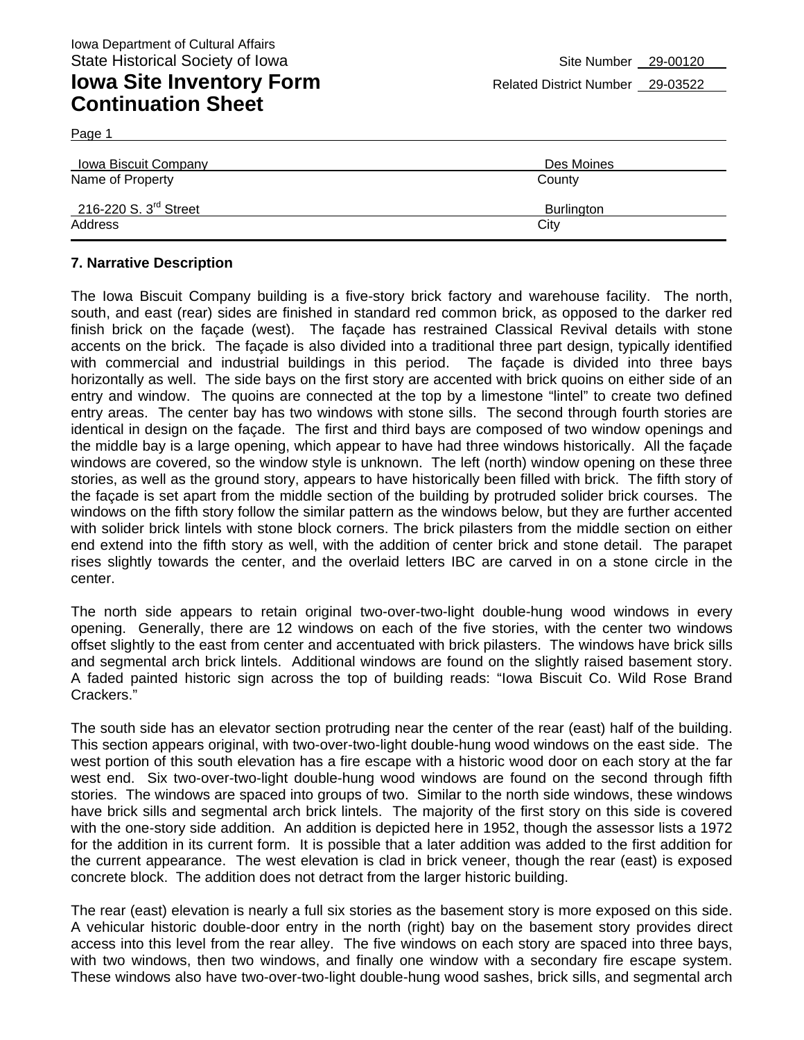Page 1

| <b>Iowa Biscuit Company</b>       | Des Moines |  |  |
|-----------------------------------|------------|--|--|
| Name of Property                  | County     |  |  |
| 216-220 S. $3^{\text{rd}}$ Street | Burlington |  |  |
| Address                           | City       |  |  |

#### **7. Narrative Description**

The Iowa Biscuit Company building is a five-story brick factory and warehouse facility. The north, south, and east (rear) sides are finished in standard red common brick, as opposed to the darker red finish brick on the façade (west). The façade has restrained Classical Revival details with stone accents on the brick. The façade is also divided into a traditional three part design, typically identified with commercial and industrial buildings in this period. The façade is divided into three bays horizontally as well. The side bays on the first story are accented with brick quoins on either side of an entry and window. The quoins are connected at the top by a limestone "lintel" to create two defined entry areas. The center bay has two windows with stone sills. The second through fourth stories are identical in design on the façade. The first and third bays are composed of two window openings and the middle bay is a large opening, which appear to have had three windows historically. All the façade windows are covered, so the window style is unknown. The left (north) window opening on these three stories, as well as the ground story, appears to have historically been filled with brick. The fifth story of the façade is set apart from the middle section of the building by protruded solider brick courses. The windows on the fifth story follow the similar pattern as the windows below, but they are further accented with solider brick lintels with stone block corners. The brick pilasters from the middle section on either end extend into the fifth story as well, with the addition of center brick and stone detail. The parapet rises slightly towards the center, and the overlaid letters IBC are carved in on a stone circle in the center.

The north side appears to retain original two-over-two-light double-hung wood windows in every opening. Generally, there are 12 windows on each of the five stories, with the center two windows offset slightly to the east from center and accentuated with brick pilasters. The windows have brick sills and segmental arch brick lintels. Additional windows are found on the slightly raised basement story. A faded painted historic sign across the top of building reads: "Iowa Biscuit Co. Wild Rose Brand Crackers."

The south side has an elevator section protruding near the center of the rear (east) half of the building. This section appears original, with two-over-two-light double-hung wood windows on the east side. The west portion of this south elevation has a fire escape with a historic wood door on each story at the far west end. Six two-over-two-light double-hung wood windows are found on the second through fifth stories. The windows are spaced into groups of two. Similar to the north side windows, these windows have brick sills and segmental arch brick lintels. The majority of the first story on this side is covered with the one-story side addition. An addition is depicted here in 1952, though the assessor lists a 1972 for the addition in its current form. It is possible that a later addition was added to the first addition for the current appearance. The west elevation is clad in brick veneer, though the rear (east) is exposed concrete block. The addition does not detract from the larger historic building.

The rear (east) elevation is nearly a full six stories as the basement story is more exposed on this side. A vehicular historic double-door entry in the north (right) bay on the basement story provides direct access into this level from the rear alley. The five windows on each story are spaced into three bays, with two windows, then two windows, and finally one window with a secondary fire escape system. These windows also have two-over-two-light double-hung wood sashes, brick sills, and segmental arch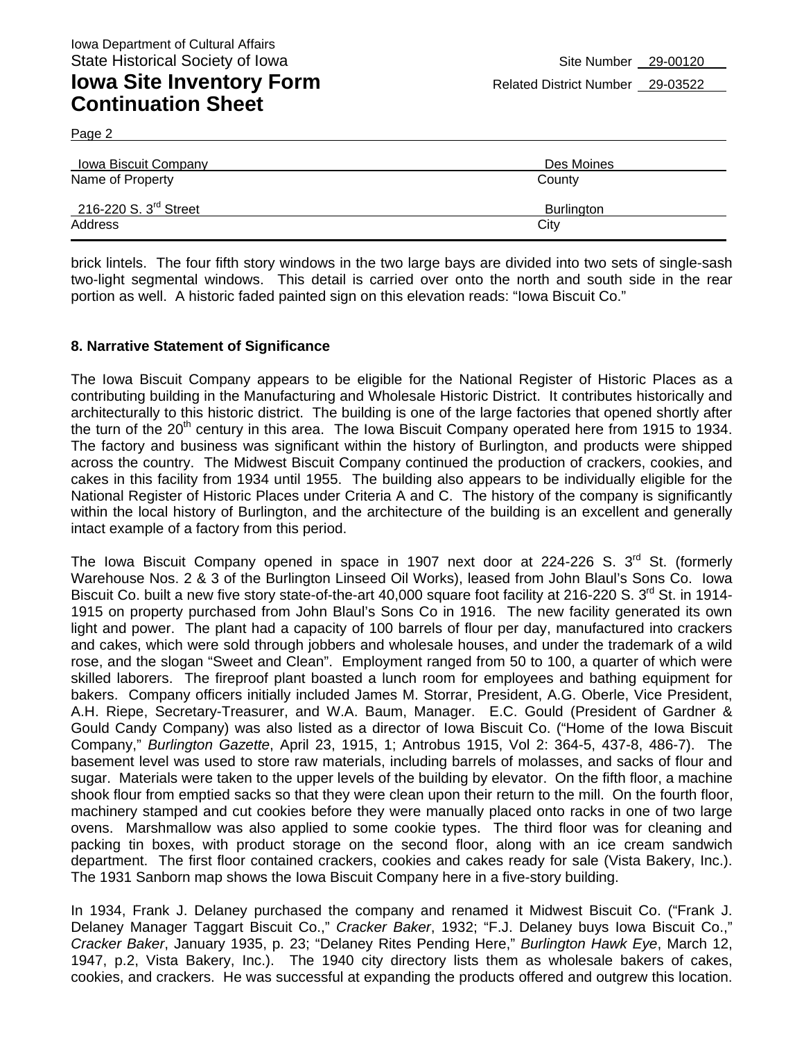Page 2

| Iowa Biscuit Company    | Des Moines |
|-------------------------|------------|
| Name of Property        | County     |
| 216-220 S. $3rd$ Street | Burlington |
| Address                 | City       |

brick lintels. The four fifth story windows in the two large bays are divided into two sets of single-sash two-light segmental windows. This detail is carried over onto the north and south side in the rear portion as well. A historic faded painted sign on this elevation reads: "Iowa Biscuit Co."

#### **8. Narrative Statement of Significance**

The Iowa Biscuit Company appears to be eligible for the National Register of Historic Places as a contributing building in the Manufacturing and Wholesale Historic District. It contributes historically and architecturally to this historic district. The building is one of the large factories that opened shortly after the turn of the 20<sup>th</sup> century in this area. The Iowa Biscuit Company operated here from 1915 to 1934. The factory and business was significant within the history of Burlington, and products were shipped across the country. The Midwest Biscuit Company continued the production of crackers, cookies, and cakes in this facility from 1934 until 1955. The building also appears to be individually eligible for the National Register of Historic Places under Criteria A and C. The history of the company is significantly within the local history of Burlington, and the architecture of the building is an excellent and generally intact example of a factory from this period.

The Iowa Biscuit Company opened in space in 1907 next door at 224-226 S.  $3<sup>rd</sup>$  St. (formerly Warehouse Nos. 2 & 3 of the Burlington Linseed Oil Works), leased from John Blaul's Sons Co. Iowa Biscuit Co. built a new five story state-of-the-art 40,000 square foot facility at 216-220 S.  $3^{\text{rd}}$  St. in 1914-1915 on property purchased from John Blaul's Sons Co in 1916. The new facility generated its own light and power. The plant had a capacity of 100 barrels of flour per day, manufactured into crackers and cakes, which were sold through jobbers and wholesale houses, and under the trademark of a wild rose, and the slogan "Sweet and Clean". Employment ranged from 50 to 100, a quarter of which were skilled laborers. The fireproof plant boasted a lunch room for employees and bathing equipment for bakers. Company officers initially included James M. Storrar, President, A.G. Oberle, Vice President, A.H. Riepe, Secretary-Treasurer, and W.A. Baum, Manager. E.C. Gould (President of Gardner & Gould Candy Company) was also listed as a director of Iowa Biscuit Co. ("Home of the Iowa Biscuit Company," *Burlington Gazette*, April 23, 1915, 1; Antrobus 1915, Vol 2: 364-5, 437-8, 486-7). The basement level was used to store raw materials, including barrels of molasses, and sacks of flour and sugar. Materials were taken to the upper levels of the building by elevator. On the fifth floor, a machine shook flour from emptied sacks so that they were clean upon their return to the mill. On the fourth floor, machinery stamped and cut cookies before they were manually placed onto racks in one of two large ovens. Marshmallow was also applied to some cookie types. The third floor was for cleaning and packing tin boxes, with product storage on the second floor, along with an ice cream sandwich department. The first floor contained crackers, cookies and cakes ready for sale (Vista Bakery, Inc.). The 1931 Sanborn map shows the Iowa Biscuit Company here in a five-story building.

In 1934, Frank J. Delaney purchased the company and renamed it Midwest Biscuit Co. ("Frank J. Delaney Manager Taggart Biscuit Co.," *Cracker Baker*, 1932; "F.J. Delaney buys Iowa Biscuit Co.," *Cracker Baker*, January 1935, p. 23; "Delaney Rites Pending Here," *Burlington Hawk Eye*, March 12, 1947, p.2, Vista Bakery, Inc.). The 1940 city directory lists them as wholesale bakers of cakes, cookies, and crackers. He was successful at expanding the products offered and outgrew this location.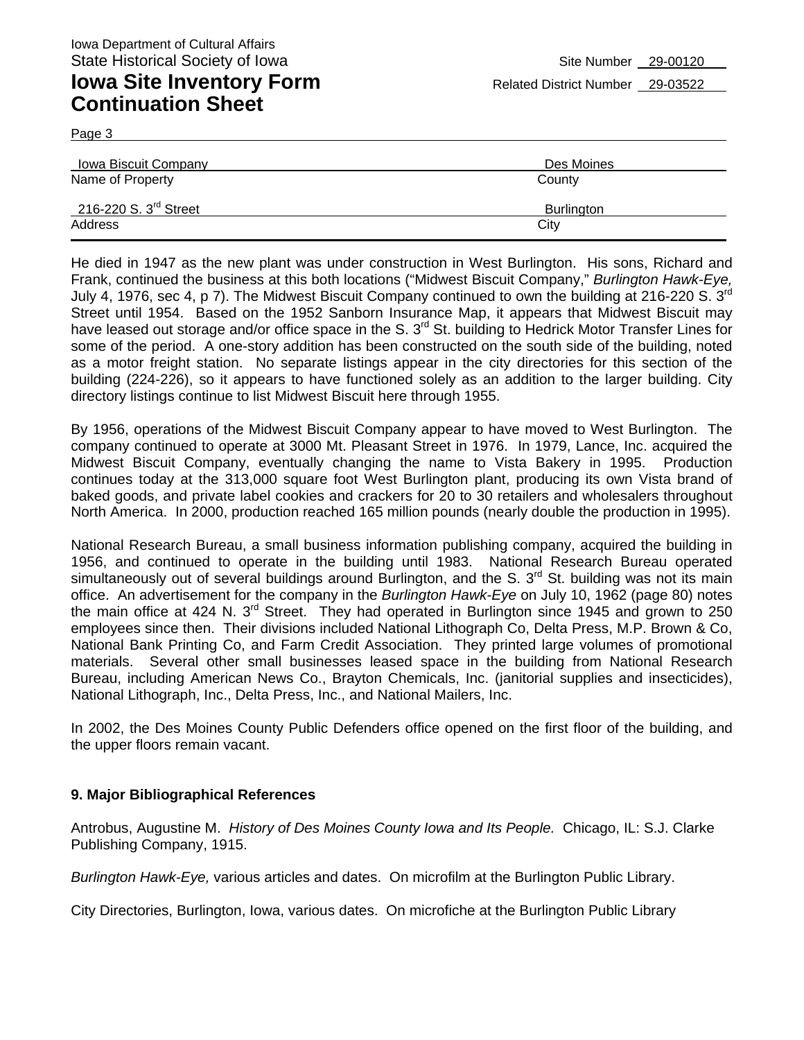Page 3

| Iowa Biscuit Company    | Des Moines |  |  |
|-------------------------|------------|--|--|
| Name of Property        | County     |  |  |
| 216-220 S. $3rd$ Street | Burlington |  |  |
| Address                 | City       |  |  |

He died in 1947 as the new plant was under construction in West Burlington. His sons, Richard and Frank, continued the business at this both locations ("Midwest Biscuit Company," *Burlington Hawk-Eye,*  July 4, 1976, sec 4, p 7). The Midwest Biscuit Company continued to own the building at 216-220 S. 3<sup>rd</sup> Street until 1954. Based on the 1952 Sanborn Insurance Map, it appears that Midwest Biscuit may have leased out storage and/or office space in the S. 3<sup>rd</sup> St. building to Hedrick Motor Transfer Lines for some of the period. A one-story addition has been constructed on the south side of the building, noted as a motor freight station. No separate listings appear in the city directories for this section of the building (224-226), so it appears to have functioned solely as an addition to the larger building. City directory listings continue to list Midwest Biscuit here through 1955.

By 1956, operations of the Midwest Biscuit Company appear to have moved to West Burlington. The company continued to operate at 3000 Mt. Pleasant Street in 1976. In 1979, Lance, Inc. acquired the Midwest Biscuit Company, eventually changing the name to Vista Bakery in 1995. Production continues today at the 313,000 square foot West Burlington plant, producing its own Vista brand of baked goods, and private label cookies and crackers for 20 to 30 retailers and wholesalers throughout North America. In 2000, production reached 165 million pounds (nearly double the production in 1995).

National Research Bureau, a small business information publishing company, acquired the building in 1956, and continued to operate in the building until 1983. National Research Bureau operated simultaneously out of several buildings around Burlington, and the S. 3<sup>rd</sup> St. building was not its main office. An advertisement for the company in the *Burlington Hawk-Eye* on July 10, 1962 (page 80) notes the main office at 424 N.  $3^{rd}$  Street. They had operated in Burlington since 1945 and grown to 250 employees since then. Their divisions included National Lithograph Co, Delta Press, M.P. Brown & Co, National Bank Printing Co, and Farm Credit Association. They printed large volumes of promotional materials. Several other small businesses leased space in the building from National Research Bureau, including American News Co., Brayton Chemicals, Inc. (janitorial supplies and insecticides), National Lithograph, Inc., Delta Press, Inc., and National Mailers, Inc.

In 2002, the Des Moines County Public Defenders office opened on the first floor of the building, and the upper floors remain vacant.

#### **9. Major Bibliographical References**

Antrobus, Augustine M. *History of Des Moines County Iowa and Its People.* Chicago, IL: S.J. Clarke Publishing Company, 1915.

*Burlington Hawk-Eye,* various articles and dates. On microfilm at the Burlington Public Library.

City Directories, Burlington, Iowa, various dates. On microfiche at the Burlington Public Library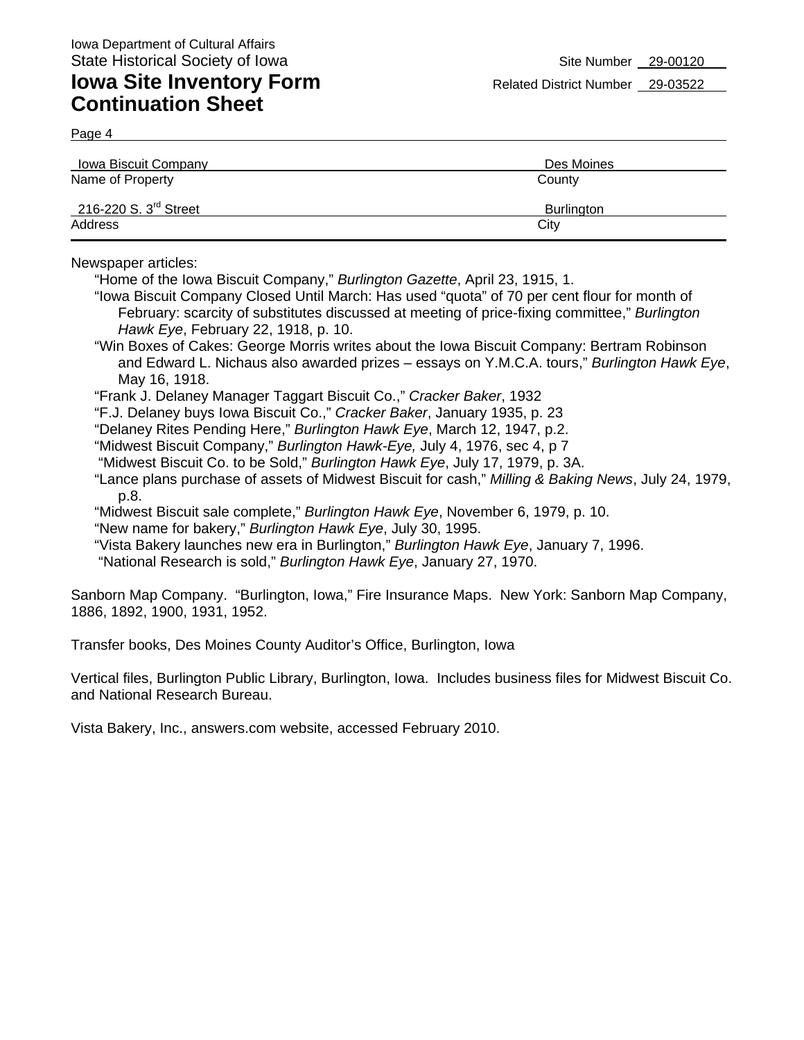Page 4

| Iowa Biscuit Company              | Des Moines        |  |  |
|-----------------------------------|-------------------|--|--|
| Name of Property                  | County            |  |  |
| 216-220 S. $3^{\text{rd}}$ Street | <b>Burlington</b> |  |  |
| Address                           | City              |  |  |

Newspaper articles:

"Home of the Iowa Biscuit Company," *Burlington Gazette*, April 23, 1915, 1.

- "Iowa Biscuit Company Closed Until March: Has used "quota" of 70 per cent flour for month of February: scarcity of substitutes discussed at meeting of price-fixing committee," *Burlington Hawk Eye*, February 22, 1918, p. 10.
- "Win Boxes of Cakes: George Morris writes about the Iowa Biscuit Company: Bertram Robinson and Edward L. Nichaus also awarded prizes – essays on Y.M.C.A. tours," *Burlington Hawk Eye*, May 16, 1918.
- "Frank J. Delaney Manager Taggart Biscuit Co.," *Cracker Baker*, 1932
- "F.J. Delaney buys Iowa Biscuit Co.," *Cracker Baker*, January 1935, p. 23
- "Delaney Rites Pending Here," *Burlington Hawk Eye*, March 12, 1947, p.2.
- "Midwest Biscuit Company," *Burlington Hawk-Eye,* July 4, 1976, sec 4, p 7
- "Midwest Biscuit Co. to be Sold," *Burlington Hawk Eye*, July 17, 1979, p. 3A.
- "Lance plans purchase of assets of Midwest Biscuit for cash," *Milling & Baking News*, July 24, 1979, p.8.
- "Midwest Biscuit sale complete," *Burlington Hawk Eye*, November 6, 1979, p. 10.
- "New name for bakery," *Burlington Hawk Eye*, July 30, 1995.
- "Vista Bakery launches new era in Burlington," *Burlington Hawk Eye*, January 7, 1996.
- "National Research is sold," *Burlington Hawk Eye*, January 27, 1970.

Sanborn Map Company. "Burlington, Iowa," Fire Insurance Maps. New York: Sanborn Map Company, 1886, 1892, 1900, 1931, 1952.

Transfer books, Des Moines County Auditor's Office, Burlington, Iowa

Vertical files, Burlington Public Library, Burlington, Iowa. Includes business files for Midwest Biscuit Co. and National Research Bureau.

Vista Bakery, Inc., answers.com website, accessed February 2010.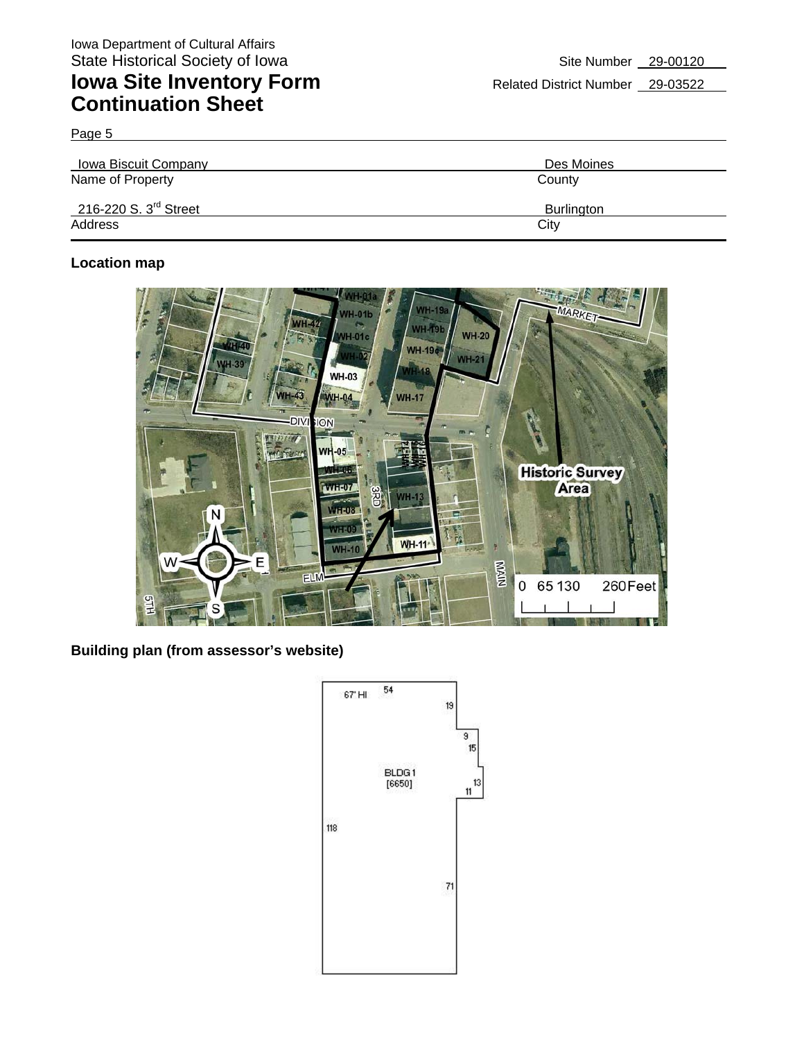Page 5

| Iowa Biscuit Company              | Des Moines |  |  |
|-----------------------------------|------------|--|--|
| Name of Property                  | County     |  |  |
| 216-220 S. $3^{\text{rd}}$ Street | Burlington |  |  |
| Address                           | City       |  |  |

### **Location map**



**Building plan (from assessor's website)** 

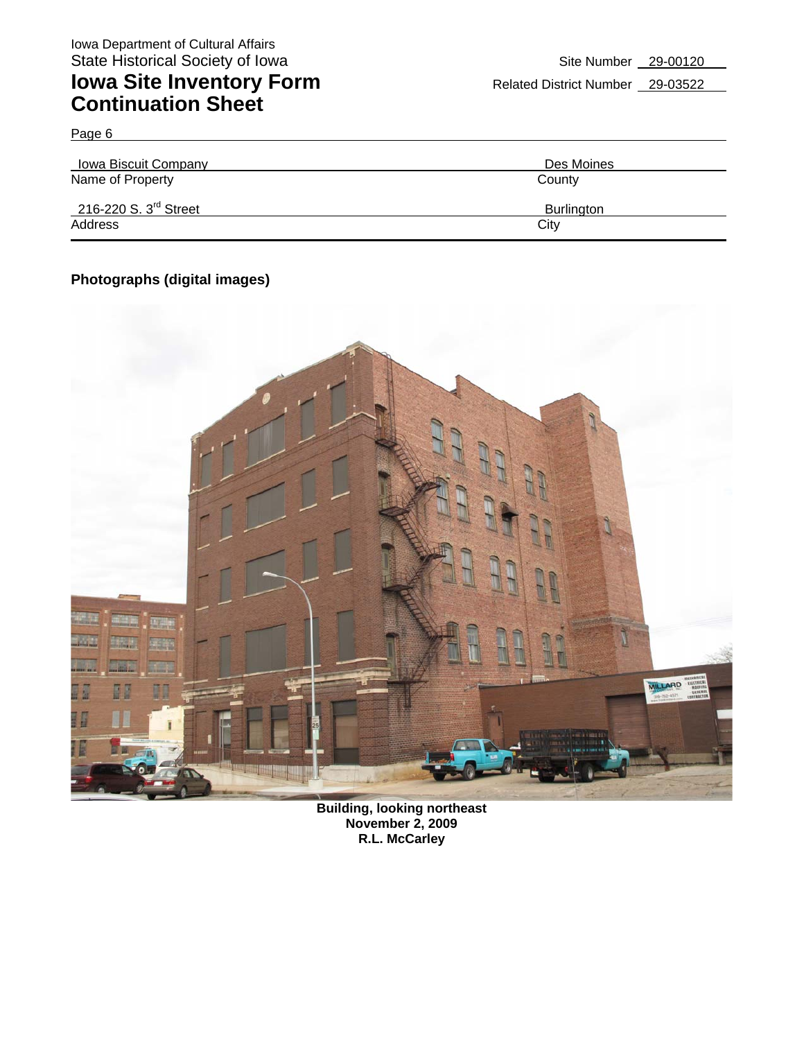Page 6

| <b>Iowa Biscuit Company</b>       | Des Moines |  |  |
|-----------------------------------|------------|--|--|
| Name of Property                  | County     |  |  |
| 216-220 S. 3 <sup>rd</sup> Street | Burlington |  |  |
| Address                           | City       |  |  |

### **Photographs (digital images)**



**Building, looking northeast November 2, 2009 R.L. McCarley**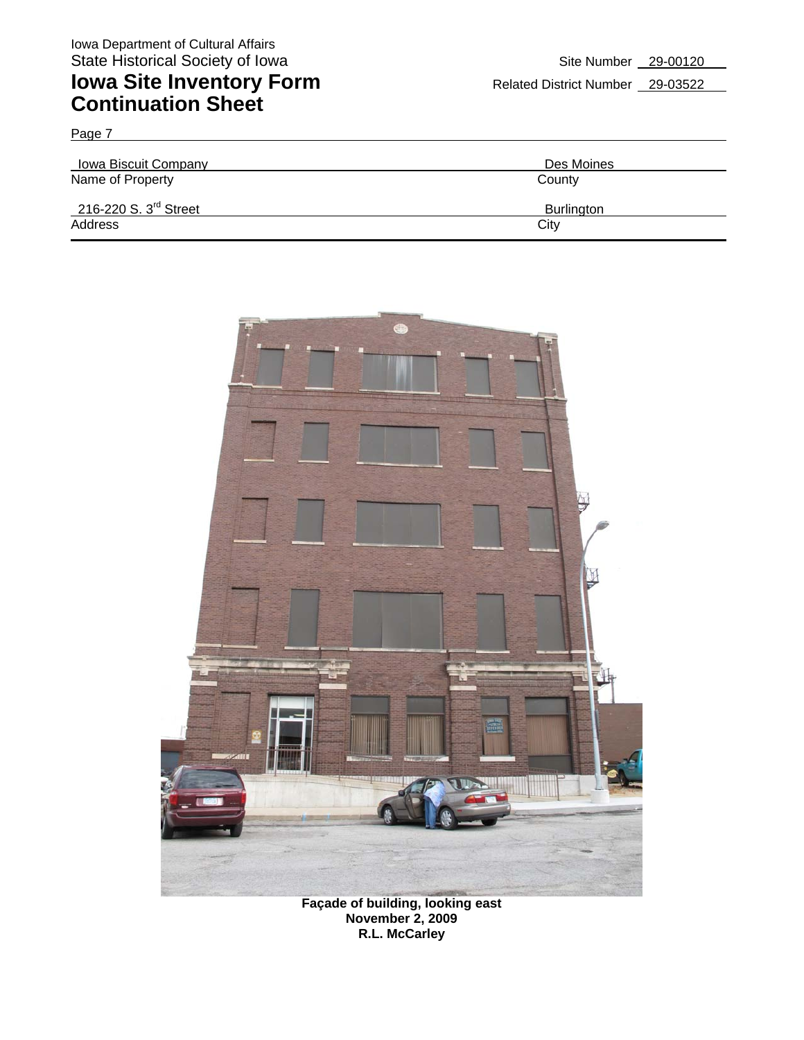Page 7

### **Iowa Site Inventory Form** Related District Number 29-03522 **Continuation Sheet**

| Iowa Biscuit Company    | Des Moines        |  |  |
|-------------------------|-------------------|--|--|
| Name of Property        | County            |  |  |
| 216-220 S. $3rd$ Street | <b>Burlington</b> |  |  |
| Address                 | City              |  |  |



**Façade of building, looking east November 2, 2009 R.L. McCarley**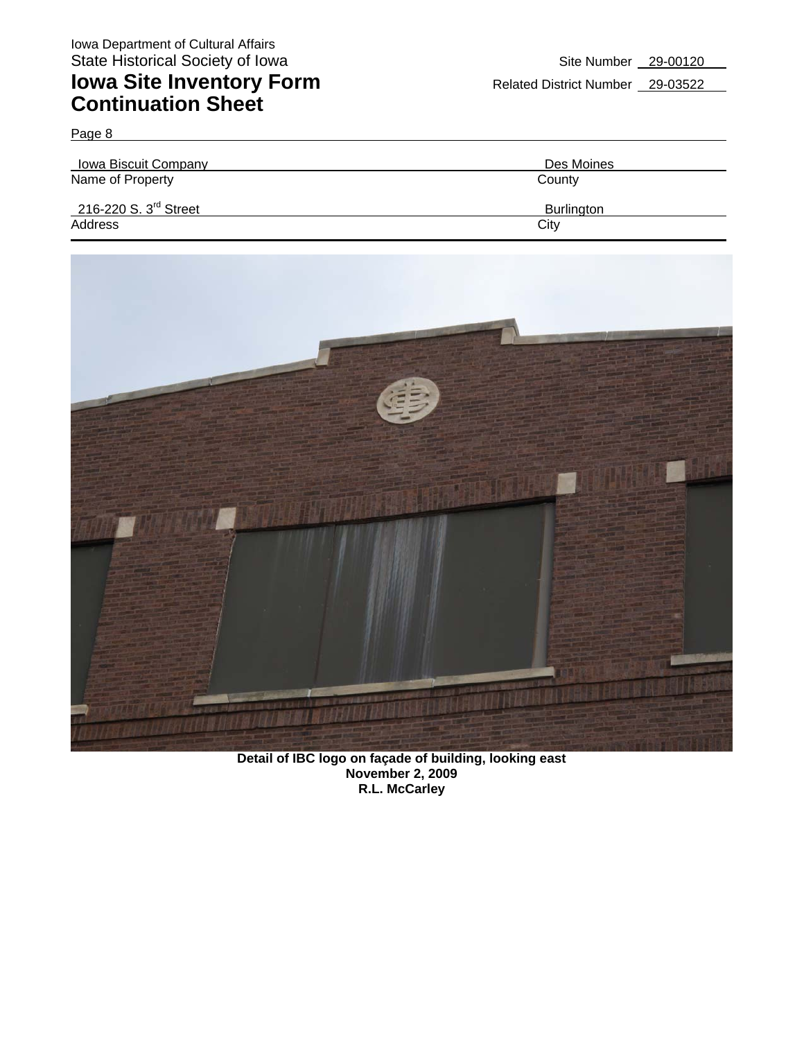| <b>Iowa Biscuit Company</b>       | Des Moines |  |  |
|-----------------------------------|------------|--|--|
| Name of Property                  | County     |  |  |
| 216-220 S. 3 <sup>rd</sup> Street | Burlington |  |  |
| Address                           | City       |  |  |



**Detail of IBC logo on façade of building, looking east November 2, 2009 R.L. McCarley**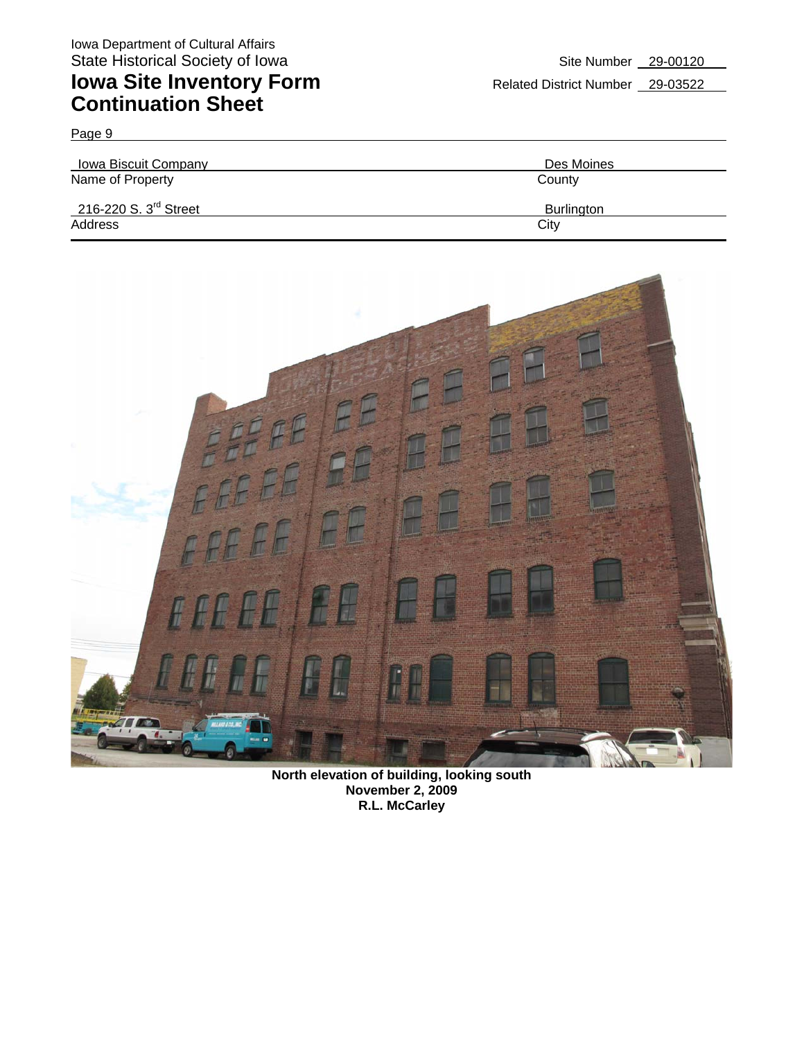Page 9

| Iowa Biscuit Company              | Des Moines |  |  |
|-----------------------------------|------------|--|--|
| Name of Property                  | County     |  |  |
| 216-220 S. $3^{\text{rd}}$ Street | Burlington |  |  |
| Address                           | City       |  |  |



**North elevation of building, looking south November 2, 2009 R.L. McCarley**